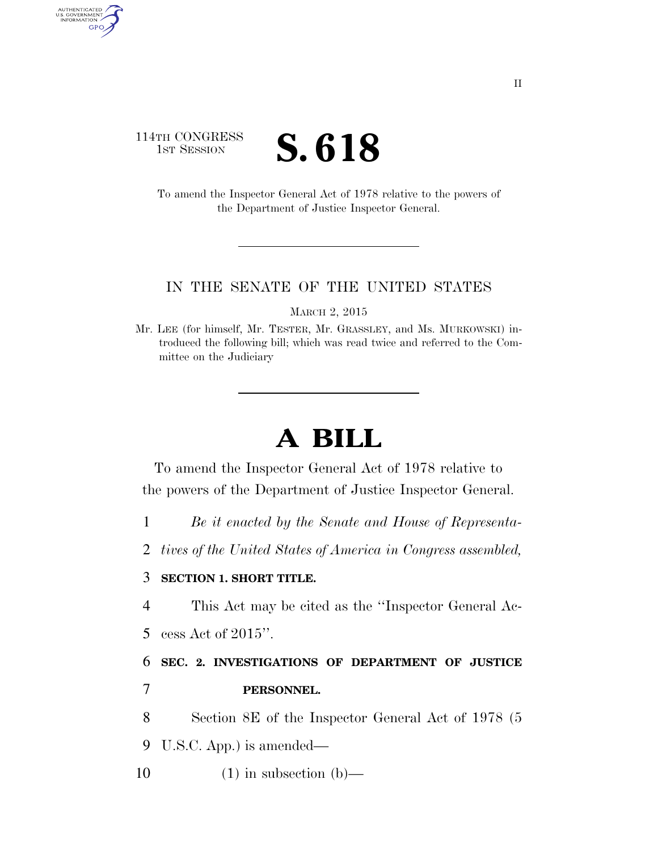## 114TH CONGRESS **IST SESSION**  $\left\{ \text{S. 618} \right\}$

AUTHENTICATED<br>U.S. GOVERNMENT<br>INFORMATION GPO

> To amend the Inspector General Act of 1978 relative to the powers of the Department of Justice Inspector General.

## IN THE SENATE OF THE UNITED STATES

MARCH 2, 2015

Mr. LEE (for himself, Mr. TESTER, Mr. GRASSLEY, and Ms. MURKOWSKI) introduced the following bill; which was read twice and referred to the Committee on the Judiciary

## **A BILL**

To amend the Inspector General Act of 1978 relative to the powers of the Department of Justice Inspector General.

1 *Be it enacted by the Senate and House of Representa-*

2 *tives of the United States of America in Congress assembled,* 

## 3 **SECTION 1. SHORT TITLE.**

4 This Act may be cited as the ''Inspector General Ac-5 cess Act of 2015''.

6 **SEC. 2. INVESTIGATIONS OF DEPARTMENT OF JUSTICE**  7 **PERSONNEL.** 

8 Section 8E of the Inspector General Act of 1978 (5

9 U.S.C. App.) is amended—

10  $(1)$  in subsection (b)—